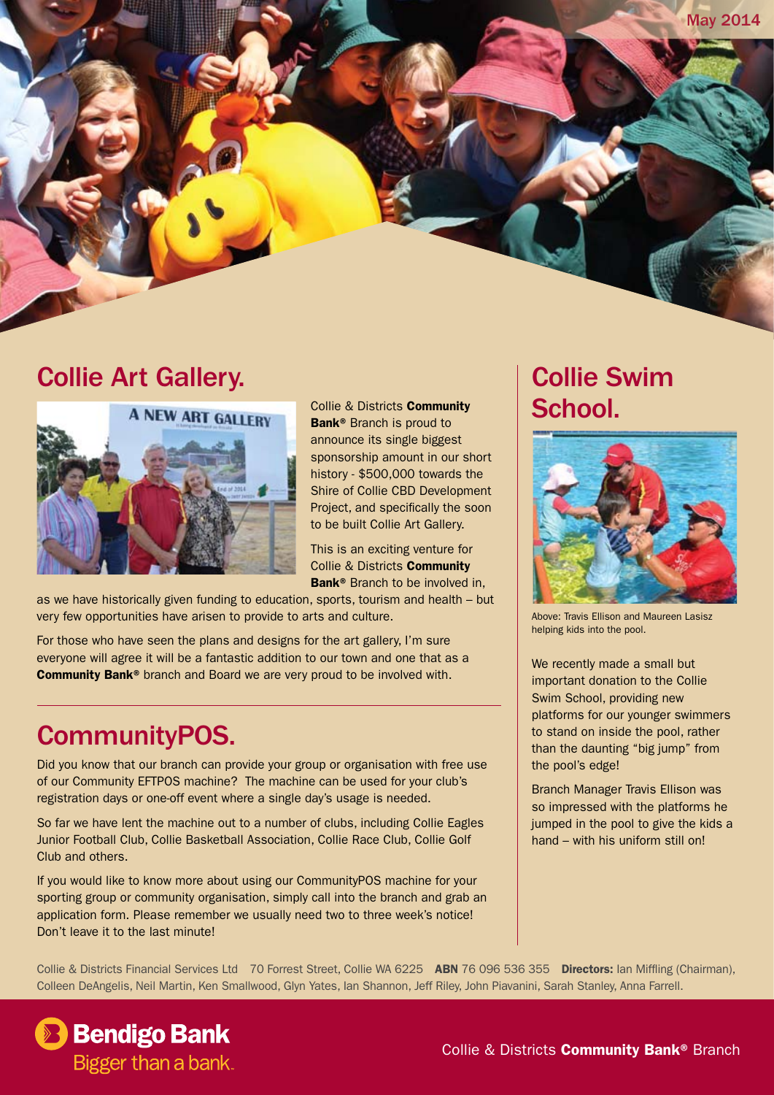

### Collie Art Gallery.



Collie & Districts Community Bank<sup>®</sup> Branch is proud to announce its single biggest sponsorship amount in our short history - \$500,000 towards the Shire of Collie CBD Development Project, and specifically the soon to be built Collie Art Gallery.

This is an exciting venture for Collie & Districts Community Bank<sup>®</sup> Branch to be involved in,

as we have historically given funding to education, sports, tourism and health – but very few opportunities have arisen to provide to arts and culture.

For those who have seen the plans and designs for the art gallery, I'm sure everyone will agree it will be a fantastic addition to our town and one that as a Community Bank® branch and Board we are very proud to be involved with.

### CommunityPOS.

Did you know that our branch can provide your group or organisation with free use of our Community EFTPOS machine? The machine can be used for your club's registration days or one-off event where a single day's usage is needed.

So far we have lent the machine out to a number of clubs, including Collie Eagles Junior Football Club, Collie Basketball Association, Collie Race Club, Collie Golf Club and others.

If you would like to know more about using our CommunityPOS machine for your sporting group or community organisation, simply call into the branch and grab an application form. Please remember we usually need two to three week's notice! Don't leave it to the last minute!

## Collie Swim School.



Above: Travis Ellison and Maureen Lasisz helping kids into the pool.

We recently made a small but important donation to the Collie Swim School, providing new platforms for our younger swimmers to stand on inside the pool, rather than the daunting "big jump" from the pool's edge!

Branch Manager Travis Ellison was so impressed with the platforms he jumped in the pool to give the kids a hand – with his uniform still on!

Collie & Districts Financial Services Ltd 70 Forrest Street, Collie WA 6225 ABN 76 096 536 355 Directors: Ian Miffling (Chairman), Colleen DeAngelis, Neil Martin, Ken Smallwood, Glyn Yates, Ian Shannon, Jeff Riley, John Piavanini, Sarah Stanley, Anna Farrell.

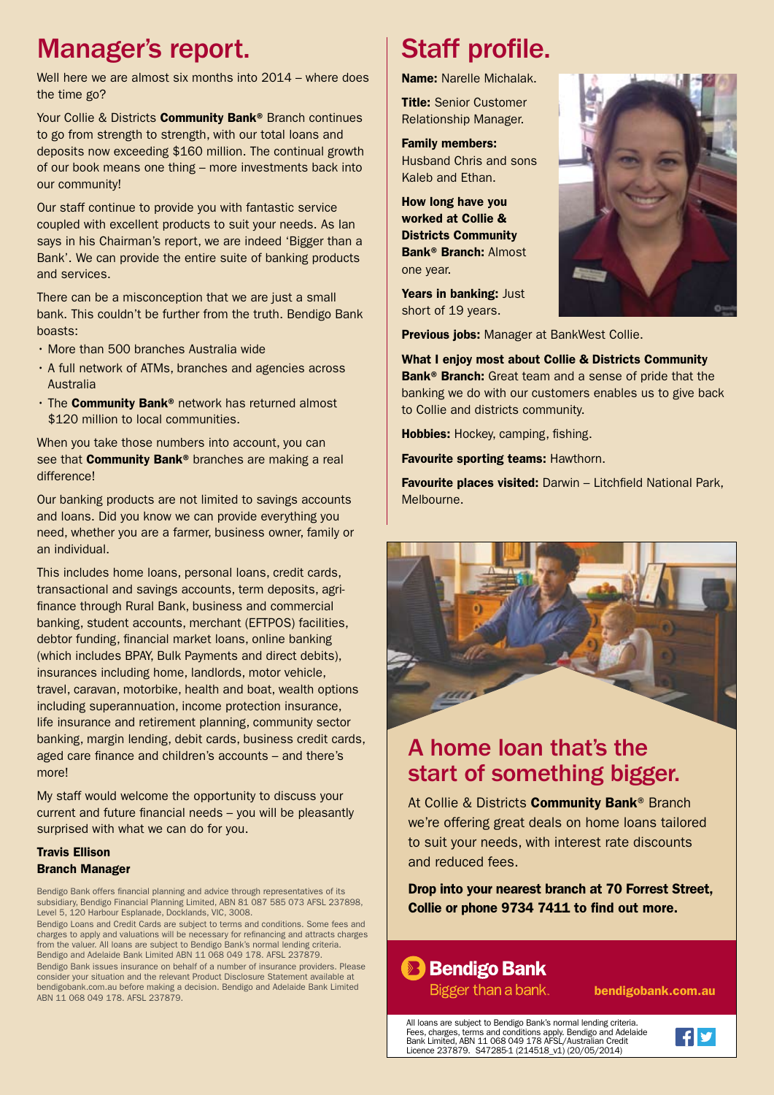## Manager's report.

Well here we are almost six months into 2014 – where does the time go?

Your Collie & Districts **Community Bank**<sup>®</sup> Branch continues to go from strength to strength, with our total loans and deposits now exceeding \$160 million. The continual growth of our book means one thing – more investments back into our community!

Our staff continue to provide you with fantastic service coupled with excellent products to suit your needs. As Ian says in his Chairman's report, we are indeed 'Bigger than a Bank'. We can provide the entire suite of banking products and services.

There can be a misconception that we are just a small bank. This couldn't be further from the truth. Bendigo Bank boasts:

- • More than 500 branches Australia wide
- A full network of ATMs, branches and agencies across Australia
- The **Community Bank®** network has returned almost \$120 million to local communities.

When you take those numbers into account, you can see that **Community Bank®** branches are making a real difference!

Our banking products are not limited to savings accounts and loans. Did you know we can provide everything you need, whether you are a farmer, business owner, family or an individual.

This includes home loans, personal loans, credit cards, transactional and savings accounts, term deposits, agrifinance through Rural Bank, business and commercial banking, student accounts, merchant (EFTPOS) facilities, debtor funding, financial market loans, online banking (which includes BPAY, Bulk Payments and direct debits), insurances including home, landlords, motor vehicle, travel, caravan, motorbike, health and boat, wealth options including superannuation, income protection insurance, life insurance and retirement planning, community sector banking, margin lending, debit cards, business credit cards, aged care finance and children's accounts – and there's more!

My staff would welcome the opportunity to discuss your current and future financial needs – you will be pleasantly surprised with what we can do for you.

#### Travis Ellison Branch Manager

Bendigo Bank offers financial planning and advice through representatives of its subsidiary, Bendigo Financial Planning Limited, ABN 81 087 585 073 AFSL 237898, Level 5, 120 Harbour Esplanade, Docklands, VIC, 3008.

Bendigo Loans and Credit Cards are subject to terms and conditions. Some fees and charges to apply and valuations will be necessary for refinancing and attracts charges from the valuer. All loans are subject to Bendigo Bank's normal lending criteria. Bendigo and Adelaide Bank Limited ABN 11 068 049 178. AFSL 237879. Bendigo Bank issues insurance on behalf of a number of insurance providers. Please consider your situation and the relevant Product Disclosure Statement available at bendigobank.com.au before making a decision. Bendigo and Adelaide Bank Limited ABN 11 068 049 178. AFSL 237879.

# Staff profile.

Name: Narelle Michalak.

**Title: Senior Customer** Relationship Manager.

Family members: Husband Chris and sons Kaleb and Ethan.

How long have you worked at Collie & Districts Community Bank® Branch: Almost one year.

Years in banking: Just short of 19 years.

Previous jobs: Manager at BankWest Collie.

What I enjoy most about Collie & Districts Community Bank<sup>®</sup> Branch: Great team and a sense of pride that the banking we do with our customers enables us to give back to Collie and districts community.

Hobbies: Hockey, camping, fishing.

Favourite sporting teams: Hawthorn.

Favourite places visited: Darwin – Litchfield National Park, Melbourne.



#### A home loan that's the start of something bigger.

At Collie & Districts **Community Bank®** Branch we're offering great deals on home loans tailored to suit your needs, with interest rate discounts and reduced fees.

Drop into your nearest branch at 70 Forrest Street, Collie or phone 9734 7411 to find out more.

#### **Bendigo Bank**

Bigger than a bank.

bendigobank.com.au

All loans are subject to Bendigo Bank's normal lending criteria. Fees, charges, terms and conditions apply. Bendigo and Adelaide Bank Limited, ABN 11 068 049 178 AFSL/Australian Credit Licence 237879. S47285-1 (214518\_v1) (20/05/2014)



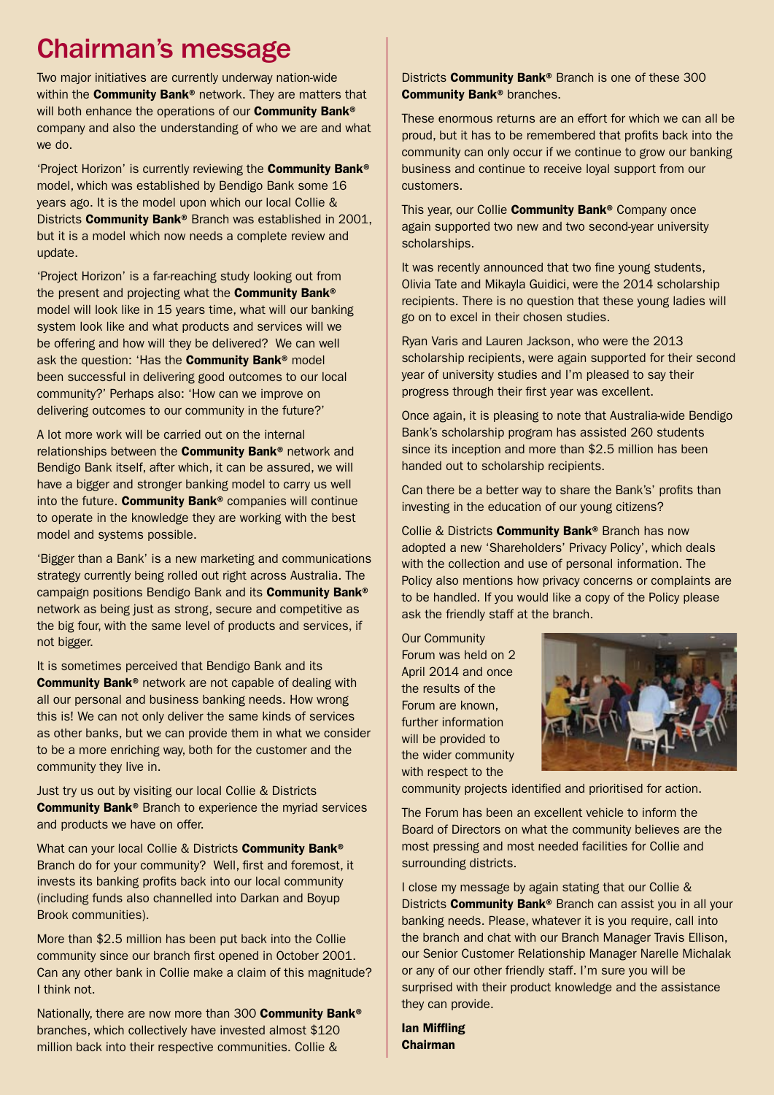## Chairman's message

Two major initiatives are currently underway nation-wide within the **Community Bank**<sup>®</sup> network. They are matters that will both enhance the operations of our **Community Bank®** company and also the understanding of who we are and what we do.

'Project Horizon' is currently reviewing the Community Bank® model, which was established by Bendigo Bank some 16 years ago. It is the model upon which our local Collie & Districts Community Bank® Branch was established in 2001, but it is a model which now needs a complete review and update.

'Project Horizon' is a far-reaching study looking out from the present and projecting what the **Community Bank®** model will look like in 15 years time, what will our banking system look like and what products and services will we be offering and how will they be delivered? We can well ask the question: 'Has the **Community Bank®** model been successful in delivering good outcomes to our local community?' Perhaps also: 'How can we improve on delivering outcomes to our community in the future?'

A lot more work will be carried out on the internal relationships between the Community Bank® network and Bendigo Bank itself, after which, it can be assured, we will have a bigger and stronger banking model to carry us well into the future. Community Bank® companies will continue to operate in the knowledge they are working with the best model and systems possible.

'Bigger than a Bank' is a new marketing and communications strategy currently being rolled out right across Australia. The campaign positions Bendigo Bank and its Community Bank® network as being just as strong, secure and competitive as the big four, with the same level of products and services, if not bigger.

It is sometimes perceived that Bendigo Bank and its Community Bank® network are not capable of dealing with all our personal and business banking needs. How wrong this is! We can not only deliver the same kinds of services as other banks, but we can provide them in what we consider to be a more enriching way, both for the customer and the community they live in.

Just try us out by visiting our local Collie & Districts Community Bank® Branch to experience the myriad services and products we have on offer.

What can your local Collie & Districts Community Bank® Branch do for your community? Well, first and foremost, it invests its banking profits back into our local community (including funds also channelled into Darkan and Boyup Brook communities).

More than \$2.5 million has been put back into the Collie community since our branch first opened in October 2001. Can any other bank in Collie make a claim of this magnitude? I think not.

Nationally, there are now more than 300 Community Bank® branches, which collectively have invested almost \$120 million back into their respective communities. Collie &

Districts **Community Bank®** Branch is one of these 300 Community Bank® branches.

These enormous returns are an effort for which we can all be proud, but it has to be remembered that profits back into the community can only occur if we continue to grow our banking business and continue to receive loyal support from our customers.

This year, our Collie **Community Bank®** Company once again supported two new and two second-year university scholarships.

It was recently announced that two fine young students, Olivia Tate and Mikayla Guidici, were the 2014 scholarship recipients. There is no question that these young ladies will go on to excel in their chosen studies.

Ryan Varis and Lauren Jackson, who were the 2013 scholarship recipients, were again supported for their second year of university studies and I'm pleased to say their progress through their first year was excellent.

Once again, it is pleasing to note that Australia-wide Bendigo Bank's scholarship program has assisted 260 students since its inception and more than \$2.5 million has been handed out to scholarship recipients.

Can there be a better way to share the Bank's' profits than investing in the education of our young citizens?

Collie & Districts Community Bank® Branch has now adopted a new 'Shareholders' Privacy Policy', which deals with the collection and use of personal information. The Policy also mentions how privacy concerns or complaints are to be handled. If you would like a copy of the Policy please ask the friendly staff at the branch.

Our Community Forum was held on 2 April 2014 and once the results of the Forum are known, further information will be provided to the wider community with respect to the



community projects identified and prioritised for action.

The Forum has been an excellent vehicle to inform the Board of Directors on what the community believes are the most pressing and most needed facilities for Collie and surrounding districts.

I close my message by again stating that our Collie & Districts **Community Bank®** Branch can assist you in all your banking needs. Please, whatever it is you require, call into the branch and chat with our Branch Manager Travis Ellison, our Senior Customer Relationship Manager Narelle Michalak or any of our other friendly staff. I'm sure you will be surprised with their product knowledge and the assistance they can provide.

Ian Miffling Chairman